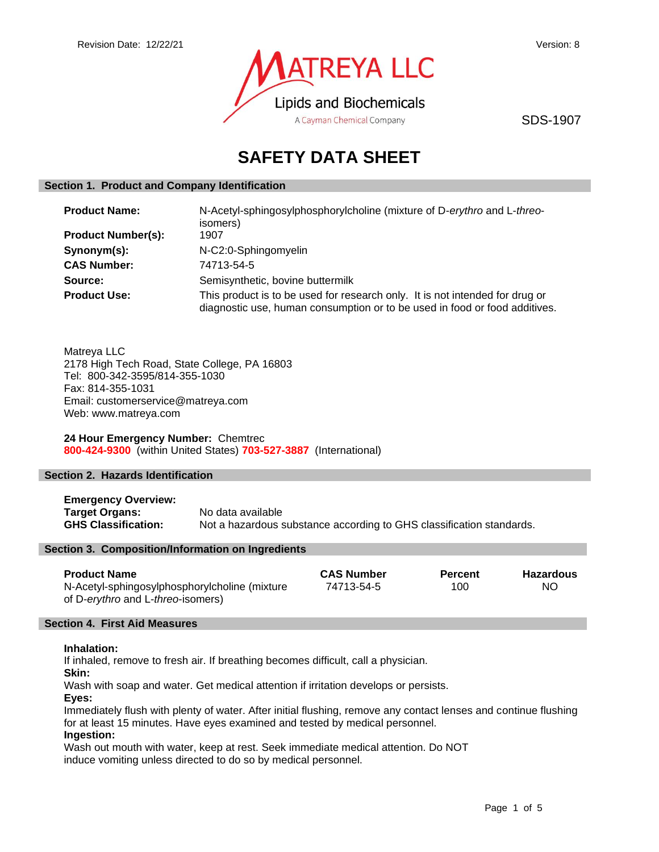

SDS-1907

# **SAFETY DATA SHEET**

## **Section 1. Product and Company Identification**

| <b>Product Name:</b>      | N-Acetyl-sphingosylphosphorylcholine (mixture of D-erythro and L-threo-<br>isomers)                                                                        |  |
|---------------------------|------------------------------------------------------------------------------------------------------------------------------------------------------------|--|
| <b>Product Number(s):</b> | 1907                                                                                                                                                       |  |
| Synonym(s):               | N-C2:0-Sphingomyelin                                                                                                                                       |  |
| <b>CAS Number:</b>        | 74713-54-5                                                                                                                                                 |  |
| Source:                   | Semisynthetic, bovine buttermilk                                                                                                                           |  |
| <b>Product Use:</b>       | This product is to be used for research only. It is not intended for drug or<br>diagnostic use, human consumption or to be used in food or food additives. |  |

Matreya LLC 2178 High Tech Road, State College, PA 16803 Tel: 800-342-3595/814-355-1030 Fax: 814-355-1031 Email: customerservice@matreya.com Web: www.matreya.com

**24 Hour Emergency Number:** Chemtrec **800-424-9300** (within United States) **703-527-3887** (International)

## **Section 2. Hazards Identification**

**Emergency Overview: Target Organs:** No data available **GHS Classification:** Not a hazardous substance according to GHS classification standards.

## **Section 3. Composition/Information on Ingredients**

| <b>Product Name</b>                           | <b>CAS Number</b> | Percent | <b>Hazardous</b> |
|-----------------------------------------------|-------------------|---------|------------------|
| N-Acetyl-sphingosylphosphorylcholine (mixture | 74713-54-5        | 100     | NO               |
| of D-erythro and L-threo-isomers)             |                   |         |                  |

## **Section 4. First Aid Measures**

## **Inhalation:**

If inhaled, remove to fresh air. If breathing becomes difficult, call a physician.

**Skin:**

Wash with soap and water. Get medical attention if irritation develops or persists.

**Eyes:**

Immediately flush with plenty of water. After initial flushing, remove any contact lenses and continue flushing for at least 15 minutes. Have eyes examined and tested by medical personnel.

## **Ingestion:**

Wash out mouth with water, keep at rest. Seek immediate medical attention. Do NOT induce vomiting unless directed to do so by medical personnel.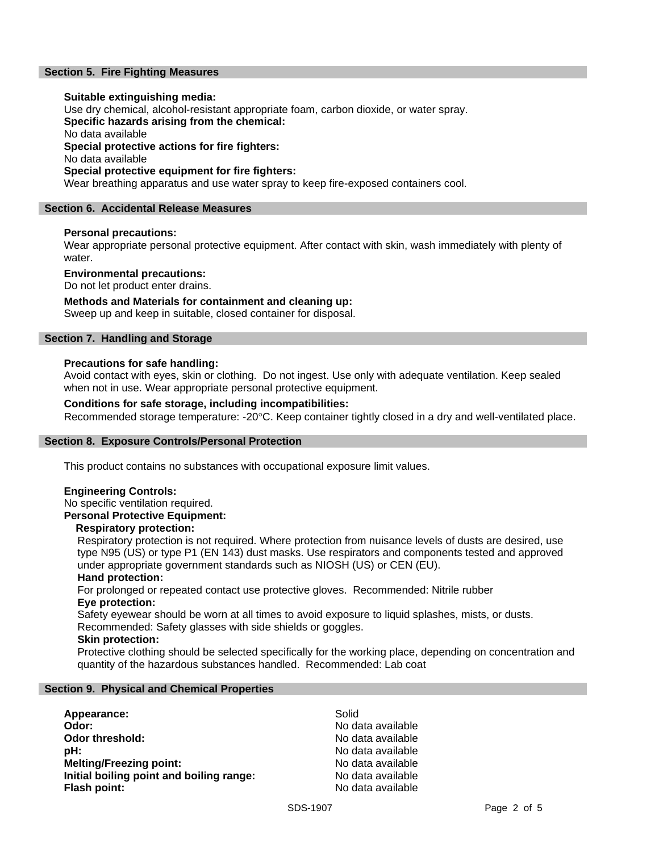## **Section 5. Fire Fighting Measures**

## **Suitable extinguishing media:**

Use dry chemical, alcohol-resistant appropriate foam, carbon dioxide, or water spray.

**Specific hazards arising from the chemical:**

No data available

**Special protective actions for fire fighters:**

No data available

## **Special protective equipment for fire fighters:**

Wear breathing apparatus and use water spray to keep fire-exposed containers cool.

## **Section 6. Accidental Release Measures**

## **Personal precautions:**

Wear appropriate personal protective equipment. After contact with skin, wash immediately with plenty of water.

## **Environmental precautions:**

Do not let product enter drains.

## **Methods and Materials for containment and cleaning up:**

Sweep up and keep in suitable, closed container for disposal.

## **Section 7. Handling and Storage**

## **Precautions for safe handling:**

Avoid contact with eyes, skin or clothing. Do not ingest. Use only with adequate ventilation. Keep sealed when not in use. Wear appropriate personal protective equipment.

## **Conditions for safe storage, including incompatibilities:**

Recommended storage temperature: -20°C. Keep container tightly closed in a dry and well-ventilated place.

## **Section 8. Exposure Controls/Personal Protection**

This product contains no substances with occupational exposure limit values.

## **Engineering Controls:**

No specific ventilation required.

**Personal Protective Equipment:**

## **Respiratory protection:**

Respiratory protection is not required. Where protection from nuisance levels of dusts are desired, use type N95 (US) or type P1 (EN 143) dust masks. Use respirators and components tested and approved under appropriate government standards such as NIOSH (US) or CEN (EU).

## **Hand protection:**

For prolonged or repeated contact use protective gloves. Recommended: Nitrile rubber **Eye protection:**

Safety eyewear should be worn at all times to avoid exposure to liquid splashes, mists, or dusts. Recommended: Safety glasses with side shields or goggles.

## **Skin protection:**

Protective clothing should be selected specifically for the working place, depending on concentration and quantity of the hazardous substances handled. Recommended: Lab coat

## **Section 9. Physical and Chemical Properties**

| Appearance:                              | Solid             |
|------------------------------------------|-------------------|
| Odor:                                    | No data available |
| Odor threshold:                          | No data available |
| pH:                                      | No data available |
| <b>Melting/Freezing point:</b>           | No data available |
| Initial boiling point and boiling range: | No data available |
| Flash point:                             | No data available |
|                                          |                   |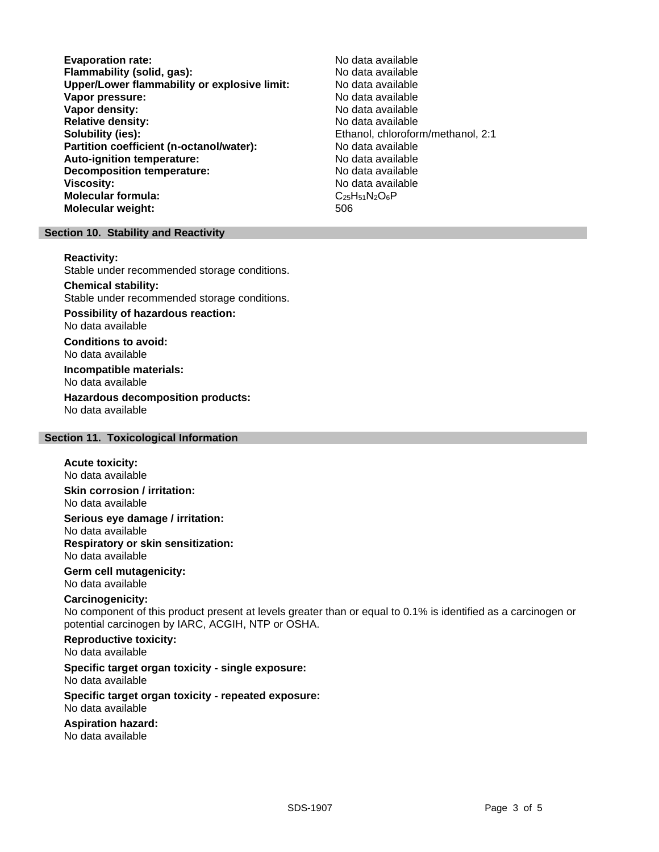**Evaporation rate:** No data available **Flammability (solid, gas):** No data available<br> **Upper/Lower flammability or explosive limit:** No data available **Upper/Lower flammability or explosive limit: Vapor pressure:** No data available **Vapor density:** No data available **Relative density:**<br> **Relative density:**<br> **Solubility (ies):**<br> **Solubility (ies):**<br> **Solubility (ies): Partition coefficient (n-octanol/water):** No data available **Auto-ignition temperature:** No data available **Decomposition temperature:** No data available **Viscosity:** No data available **Molecular formula:** C<sub>25</sub>H<sub>51</sub>N<sub>2</sub>O<sub>6</sub>P **Molecular weight:** 506

Ethanol, chloroform/methanol, 2:1

## **Section 10. Stability and Reactivity**

#### **Reactivity:**

Stable under recommended storage conditions.

## **Chemical stability:**

Stable under recommended storage conditions.

#### **Possibility of hazardous reaction:** No data available

**Conditions to avoid:** No data available

**Incompatible materials:** No data available

**Hazardous decomposition products:** No data available

## **Section 11. Toxicological Information**

## **Acute toxicity:**

No data available

**Skin corrosion / irritation:** No data available

**Serious eye damage / irritation:** No data available **Respiratory or skin sensitization:** No data available

**Germ cell mutagenicity:** No data available

## **Carcinogenicity:**

No component of this product present at levels greater than or equal to 0.1% is identified as a carcinogen or potential carcinogen by IARC, ACGIH, NTP or OSHA.

## **Reproductive toxicity:** No data available

## **Specific target organ toxicity - single exposure:**

No data available

#### **Specific target organ toxicity - repeated exposure:** No data available

## **Aspiration hazard:**

No data available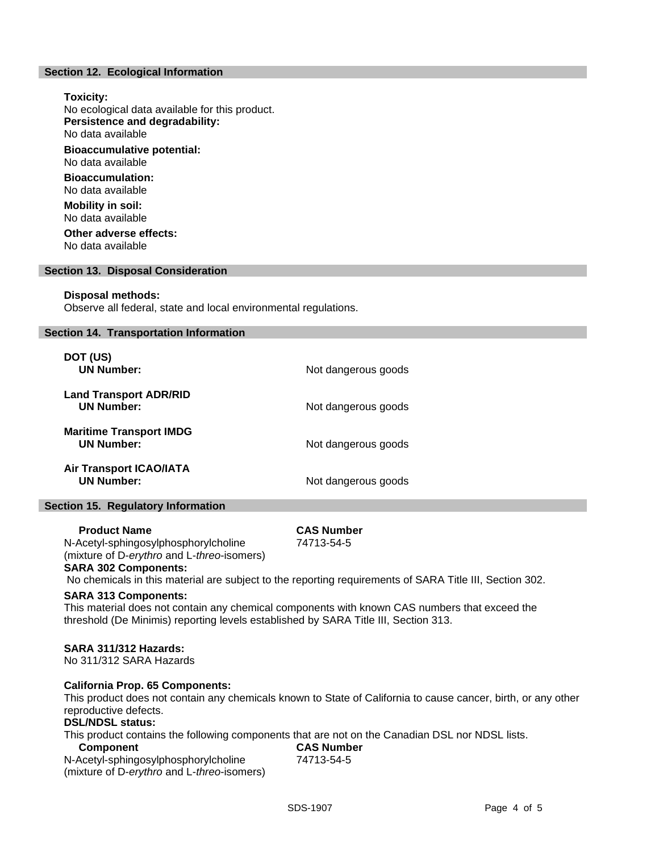## **Section 12. Ecological Information**

**Toxicity:** No ecological data available for this product. **Persistence and degradability:** No data available **Bioaccumulative potential:** No data available **Bioaccumulation:** No data available **Mobility in soil:** No data available **Other adverse effects:**

No data available

## **Section 13. Disposal Consideration**

#### **Disposal methods:**

Observe all federal, state and local environmental regulations.

## **Section 14. Transportation Information**

| DOT (US)<br><b>UN Number:</b>                       | Not dangerous goods |
|-----------------------------------------------------|---------------------|
| <b>Land Transport ADR/RID</b><br><b>UN Number:</b>  | Not dangerous goods |
| <b>Maritime Transport IMDG</b><br><b>UN Number:</b> | Not dangerous goods |
| <b>Air Transport ICAO/IATA</b><br><b>UN Number:</b> | Not dangerous goods |

## **Section 15. Regulatory Information**

## **Product Name CAS Number**

74713-54-5

N-Acetyl-sphingosylphosphorylcholine (mixture of D-*erythro* and L-*threo*-isomers) **SARA 302 Components:**

No chemicals in this material are subject to the reporting requirements of SARA Title III, Section 302.

## **SARA 313 Components:**

This material does not contain any chemical components with known CAS numbers that exceed the threshold (De Minimis) reporting levels established by SARA Title III, Section 313.

## **SARA 311/312 Hazards:**

No 311/312 SARA Hazards

## **California Prop. 65 Components:**

This product does not contain any chemicals known to State of California to cause cancer, birth, or any other reproductive defects.

## **DSL/NDSL status:**

This product contains the following components that are not on the Canadian DSL nor NDSL lists.

N-Acetyl-sphingosylphosphorylcholine (mixture of D-*erythro* and L-*threo*-isomers)

 **Component CAS Number** 74713-54-5